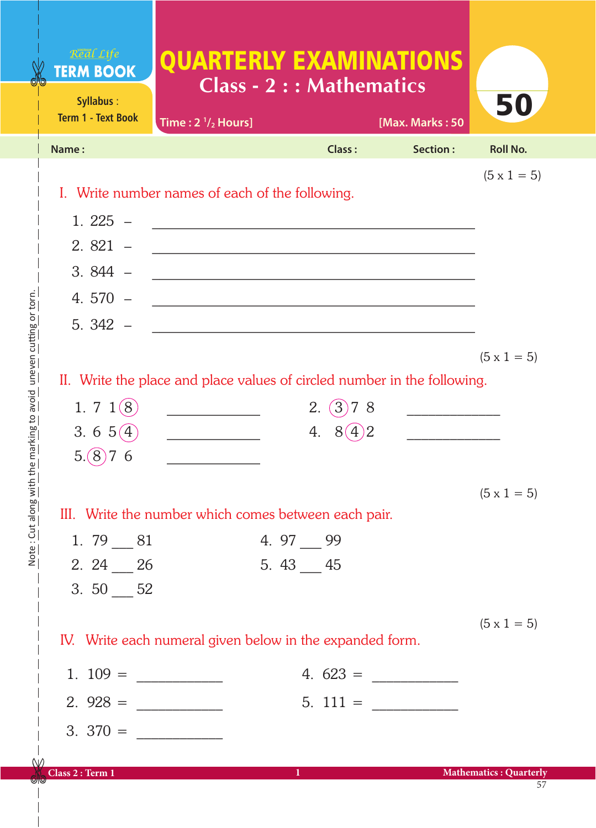| Real Life<br><b>TERM BOOK</b><br>Syllabus: | <b>QUARTERLY EXAMINATIONS</b><br><b>Class - 2 : : Mathematics</b>        |              |                 | 50                            |
|--------------------------------------------|--------------------------------------------------------------------------|--------------|-----------------|-------------------------------|
| <b>Term 1 - Text Book</b>                  | Time: $2 \frac{1}{2}$ Hours]                                             |              | [Max. Marks: 50 |                               |
| Name:                                      |                                                                          | Class:       | Section:        | <b>Roll No.</b>               |
|                                            | I. Write number names of each of the following.                          |              |                 | $(5 \times 1 = 5)$            |
| $1.225 -$                                  |                                                                          |              |                 |                               |
| $2.821 -$                                  |                                                                          |              |                 |                               |
| $3.844 -$                                  |                                                                          |              |                 |                               |
| 4.570 $-$                                  |                                                                          |              |                 |                               |
| $5.342 -$                                  |                                                                          |              |                 |                               |
|                                            |                                                                          |              |                 | $(5 \times 1 = 5)$            |
|                                            | II. Write the place and place values of circled number in the following. |              |                 |                               |
| 1. 7 $1(8)$                                |                                                                          | 2. (3)<br>78 |                 |                               |
| 3.6 $5(4)$                                 |                                                                          | 4.<br>8(4)2  |                 |                               |
| 5.(8)<br>6                                 |                                                                          |              |                 |                               |
|                                            |                                                                          |              |                 | $(5 \times 1 = 5)$            |
|                                            | III. Write the number which comes between each pair.                     |              |                 |                               |
| 1. $79 - 81$                               |                                                                          | 4. $97 - 99$ |                 |                               |
| $2.24 - 26$                                |                                                                          | 5. $43 - 45$ |                 |                               |
| 3. $50 - 52$                               |                                                                          |              |                 |                               |
|                                            | IV. Write each numeral given below in the expanded form.                 |              |                 | $(5 \times 1 = 5)$            |
|                                            |                                                                          |              |                 |                               |
|                                            |                                                                          |              | $4.623 =$       |                               |
| $2.928 =$                                  |                                                                          |              |                 |                               |
| $3.370 =$                                  |                                                                          |              |                 |                               |
| Class 2 : Term 1                           |                                                                          | 1            |                 | <b>Mathematics: Quarterly</b> |

 $\bigcirc$